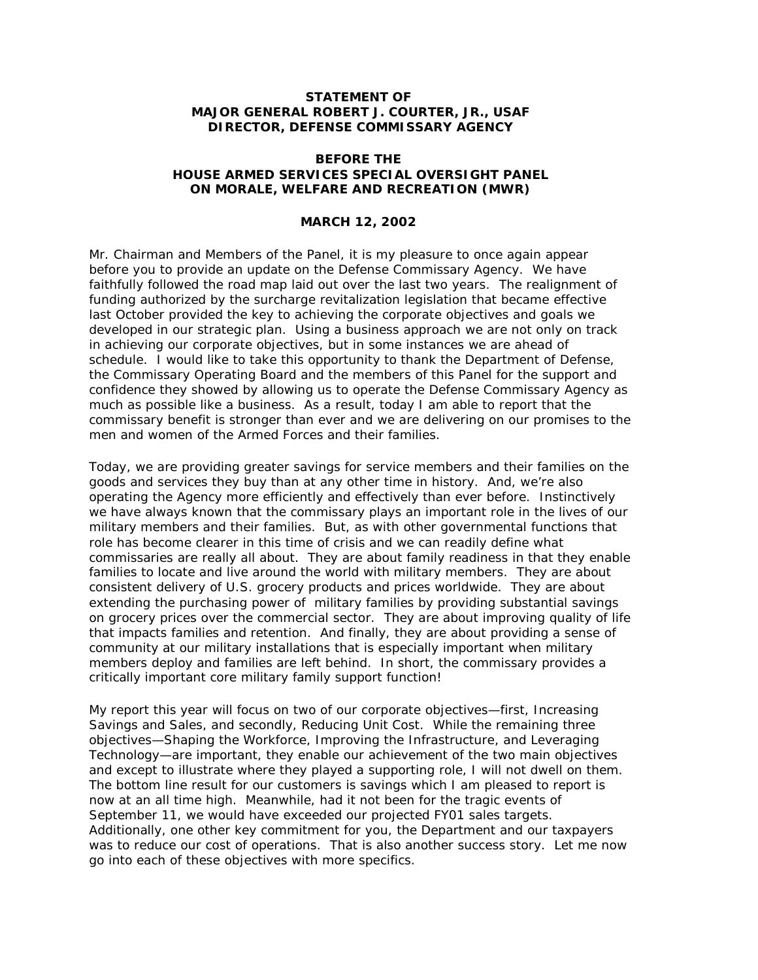## **STATEMENT OF MAJOR GENERAL ROBERT J. COURTER, JR., USAF DIRECTOR, DEFENSE COMMISSARY AGENCY**

## **BEFORE THE HOUSE ARMED SERVICES SPECIAL OVERSIGHT PANEL ON MORALE, WELFARE AND RECREATION (MWR)**

## **MARCH 12, 2002**

Mr. Chairman and Members of the Panel, it is my pleasure to once again appear before you to provide an update on the Defense Commissary Agency. We have faithfully followed the road map laid out over the last two years. The realignment of funding authorized by the surcharge revitalization legislation that became effective last October provided the key to achieving the corporate objectives and goals we developed in our strategic plan. Using a business approach we are not only on track in achieving our corporate objectives, but in some instances we are ahead of schedule. I would like to take this opportunity to thank the Department of Defense, the Commissary Operating Board and the members of this Panel for the support and confidence they showed by allowing us to operate the Defense Commissary Agency as much as possible like a business. As a result, today I am able to report that the commissary benefit is stronger than ever and we are delivering on our promises to the men and women of the Armed Forces and their families.

Today, we are providing greater savings for service members and their families on the goods and services they buy than at any other time in history. And, we're also operating the Agency more efficiently and effectively than ever before. Instinctively we have always known that the commissary plays an important role in the lives of our military members and their families. But, as with other governmental functions that role has become clearer in this time of crisis and we can readily define what commissaries are really all about. They are about family readiness in that they enable families to locate and live around the world with military members. They are about consistent delivery of U.S. grocery products and prices worldwide. They are about extending the purchasing power of military families by providing substantial savings on grocery prices over the commercial sector. They are about improving quality of life that impacts families and retention. And finally, they are about providing a sense of community at our military installations that is especially important when military members deploy and families are left behind. In short, the commissary provides a critically important core military family support function!

My report this year will focus on two of our corporate objectives—first, Increasing Savings and Sales, and secondly, Reducing Unit Cost. While the remaining three objectives—Shaping the Workforce, Improving the Infrastructure, and Leveraging Technology—are important, they enable our achievement of the two main objectives and except to illustrate where they played a supporting role, I will not dwell on them. The bottom line result for our customers is savings which I am pleased to report is now at an all time high. Meanwhile, had it not been for the tragic events of September 11, we would have exceeded our projected FY01 sales targets. Additionally, one other key commitment for you, the Department and our taxpayers was to reduce our cost of operations. That is also another success story. Let me now go into each of these objectives with more specifics.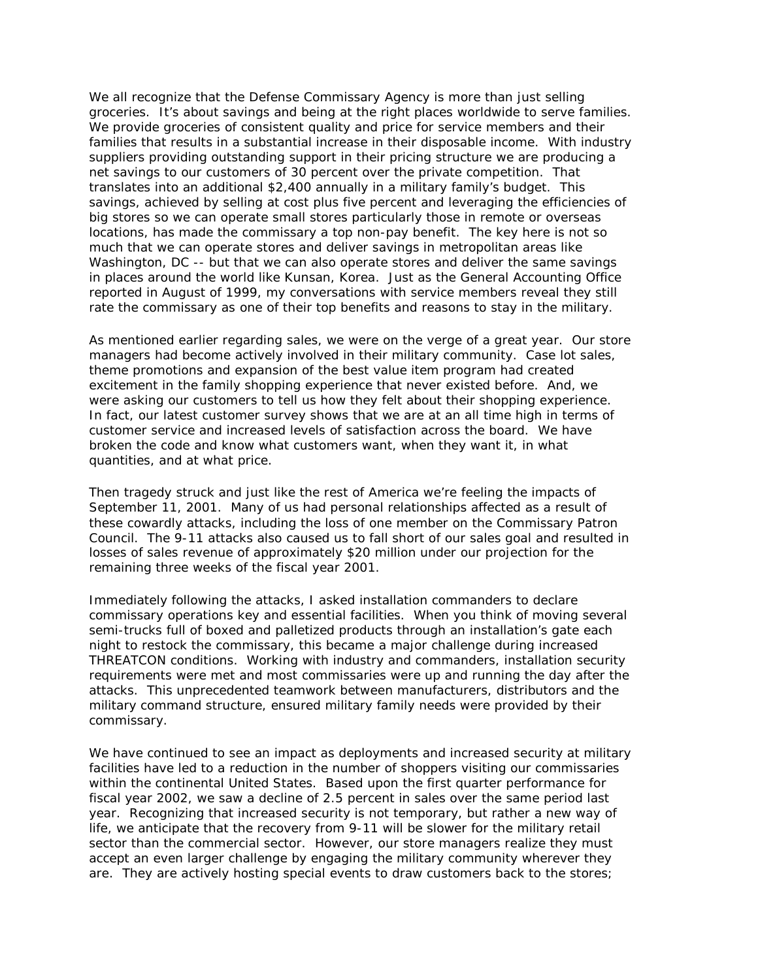We all recognize that the Defense Commissary Agency is more than just selling groceries. It's about savings and being at the right places worldwide to serve families. We provide groceries of consistent quality and price for service members and their families that results in a substantial increase in their disposable income. With industry suppliers providing outstanding support in their pricing structure we are producing a net savings to our customers of 30 percent over the private competition. That translates into an additional \$2,400 annually in a military family's budget. This savings, achieved by selling at cost plus five percent and leveraging the efficiencies of big stores so we can operate small stores particularly those in remote or overseas locations, has made the commissary a top non-pay benefit. The key here is not so much that we can operate stores and deliver savings in metropolitan areas like Washington, DC -- but that we can also operate stores and deliver the same savings in places around the world like Kunsan, Korea. Just as the General Accounting Office reported in August of 1999, my conversations with service members reveal they still rate the commissary as one of their top benefits and reasons to stay in the military.

As mentioned earlier regarding sales, we were on the verge of a great year. Our store managers had become actively involved in their military community. Case lot sales, theme promotions and expansion of the best value item program had created excitement in the family shopping experience that never existed before. And, we were asking our customers to tell us how they felt about their shopping experience. In fact, our latest customer survey shows that we are at an all time high in terms of customer service and increased levels of satisfaction across the board. We have broken the code and know what customers want, when they want it, in what quantities, and at what price.

Then tragedy struck and just like the rest of America we're feeling the impacts of September 11, 2001. Many of us had personal relationships affected as a result of these cowardly attacks, including the loss of one member on the Commissary Patron Council. The 9-11 attacks also caused us to fall short of our sales goal and resulted in losses of sales revenue of approximately \$20 million under our projection for the remaining three weeks of the fiscal year 2001.

Immediately following the attacks, I asked installation commanders to declare commissary operations key and essential facilities. When you think of moving several semi-trucks full of boxed and palletized products through an installation's gate each night to restock the commissary, this became a major challenge during increased THREATCON conditions. Working with industry and commanders, installation security requirements were met and most commissaries were up and running the day after the attacks. This unprecedented teamwork between manufacturers, distributors and the military command structure, ensured military family needs were provided by their commissary.

We have continued to see an impact as deployments and increased security at military facilities have led to a reduction in the number of shoppers visiting our commissaries within the continental United States. Based upon the first quarter performance for fiscal year 2002, we saw a decline of 2.5 percent in sales over the same period last year. Recognizing that increased security is not temporary, but rather a new way of life, we anticipate that the recovery from 9-11 will be slower for the military retail sector than the commercial sector. However, our store managers realize they must accept an even larger challenge by engaging the military community wherever they are. They are actively hosting special events to draw customers back to the stores;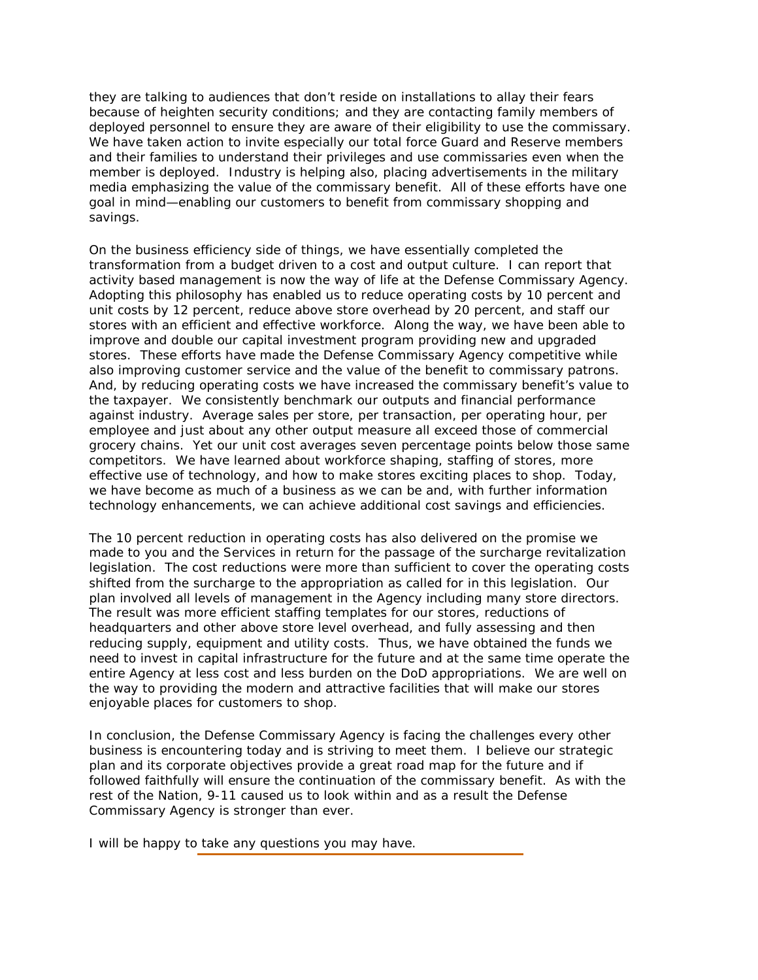they are talking to audiences that don't reside on installations to allay their fears because of heighten security conditions; and they are contacting family members of deployed personnel to ensure they are aware of their eligibility to use the commissary. We have taken action to invite especially our total force Guard and Reserve members and their families to understand their privileges and use commissaries even when the member is deployed. Industry is helping also, placing advertisements in the military media emphasizing the value of the commissary benefit. All of these efforts have one goal in mind—enabling our customers to benefit from commissary shopping and savings.

On the business efficiency side of things, we have essentially completed the transformation from a budget driven to a cost and output culture. I can report that activity based management is now the way of life at the Defense Commissary Agency. Adopting this philosophy has enabled us to reduce operating costs by 10 percent and unit costs by 12 percent, reduce above store overhead by 20 percent, and staff our stores with an efficient and effective workforce. Along the way, we have been able to improve and double our capital investment program providing new and upgraded stores. These efforts have made the Defense Commissary Agency competitive while also improving customer service and the value of the benefit to commissary patrons. And, by reducing operating costs we have increased the commissary benefit's value to the taxpayer. We consistently benchmark our outputs and financial performance against industry. Average sales per store, per transaction, per operating hour, per employee and just about any other output measure all exceed those of commercial grocery chains. Yet our unit cost averages seven percentage points below those same competitors. We have learned about workforce shaping, staffing of stores, more effective use of technology, and how to make stores exciting places to shop. Today, we have become as much of a business as we can be and, with further information technology enhancements, we can achieve additional cost savings and efficiencies.

The 10 percent reduction in operating costs has also delivered on the promise we made to you and the Services in return for the passage of the surcharge revitalization legislation. The cost reductions were more than sufficient to cover the operating costs shifted from the surcharge to the appropriation as called for in this legislation. Our plan involved all levels of management in the Agency including many store directors. The result was more efficient staffing templates for our stores, reductions of headquarters and other above store level overhead, and fully assessing and then reducing supply, equipment and utility costs. Thus, we have obtained the funds we need to invest in capital infrastructure for the future and at the same time operate the entire Agency at less cost and less burden on the DoD appropriations. We are well on the way to providing the modern and attractive facilities that will make our stores enjoyable places for customers to shop.

In conclusion, the Defense Commissary Agency is facing the challenges every other business is encountering today and is striving to meet them. I believe our strategic plan and its corporate objectives provide a great road map for the future and if followed faithfully will ensure the continuation of the commissary benefit. As with the rest of the Nation, 9-11 caused us to look within and as a result the Defense Commissary Agency is stronger than ever.

I will be happy to take any questions you may have.